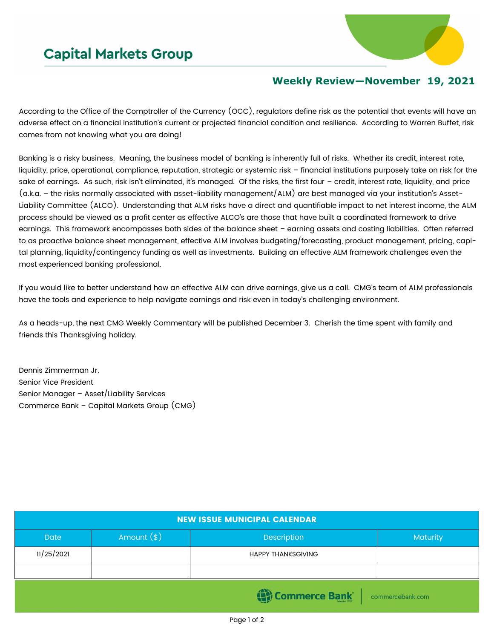## **Capital Markets Group**



## **Weekly Review—November 19, 2021**

According to the Office of the Comptroller of the Currency (OCC), regulators define risk as the potential that events will have an adverse effect on a financial institution's current or projected financial condition and resilience. According to Warren Buffet, risk comes from not knowing what you are doing!

Banking is a risky business. Meaning, the business model of banking is inherently full of risks. Whether its credit, interest rate, liquidity, price, operational, compliance, reputation, strategic or systemic risk – financial institutions purposely take on risk for the sake of earnings. As such, risk isn't eliminated, it's managed. Of the risks, the first four - credit, interest rate, liquidity, and price (a.k.a. – the risks normally associated with asset-liability management/ALM) are best managed via your institution's Asset-Liability Committee (ALCO). Understanding that ALM risks have a direct and quantifiable impact to net interest income, the ALM process should be viewed as a profit center as effective ALCO's are those that have built a coordinated framework to drive earnings. This framework encompasses both sides of the balance sheet – earning assets and costing liabilities. Often referred to as proactive balance sheet management, effective ALM involves budgeting/forecasting, product management, pricing, capital planning, liquidity/contingency funding as well as investments. Building an effective ALM framework challenges even the most experienced banking professional.

If you would like to better understand how an effective ALM can drive earnings, give us a call. CMG's team of ALM professionals have the tools and experience to help navigate earnings and risk even in today's challenging environment.

As a heads-up, the next CMG Weekly Commentary will be published December 3. Cherish the time spent with family and friends this Thanksgiving holiday.

Dennis Zimmerman Jr. Senior Vice President Senior Manager – Asset/Liability Services Commerce Bank – Capital Markets Group (CMG)

| <b>NEW ISSUE MUNICIPAL CALENDAR</b> |              |                           |                 |  |  |  |  |
|-------------------------------------|--------------|---------------------------|-----------------|--|--|--|--|
| <b>Date</b>                         | Amount $(*)$ | Description               | <b>Maturity</b> |  |  |  |  |
| 11/25/2021                          |              | <b>HAPPY THANKSGIVING</b> |                 |  |  |  |  |
|                                     |              |                           |                 |  |  |  |  |
| Commerce Bank commercebank.com      |              |                           |                 |  |  |  |  |